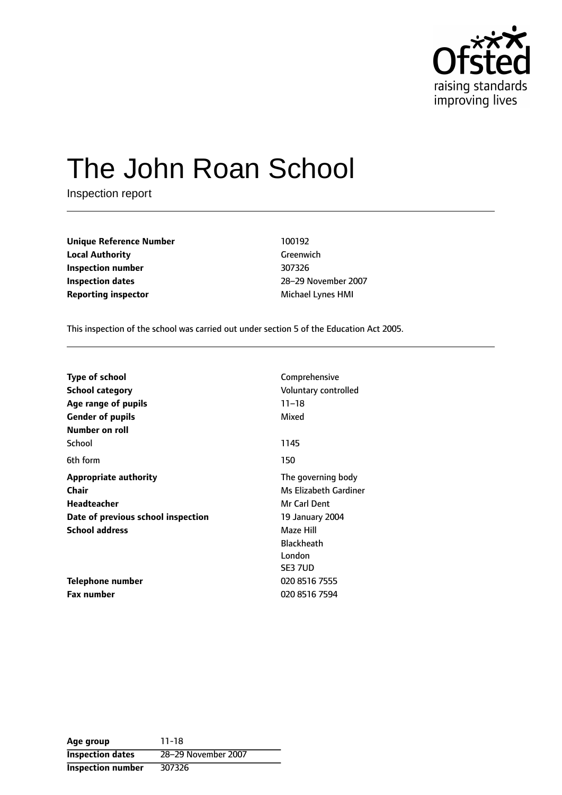

# The John Roan School

Inspection report

**Unique Reference Number** 100192 **Local Authority** Greenwich **Inspection number** 307326 **Inspection dates** 28-29 November 2007 **Reporting inspector** Michael Lynes HMI

This inspection of the school was carried out under section 5 of the Education Act 2005.

| <b>Type of school</b><br><b>School category</b> | Comprehensive<br>Voluntary controlled |
|-------------------------------------------------|---------------------------------------|
| Age range of pupils                             | $11 - 18$                             |
| <b>Gender of pupils</b>                         | Mixed                                 |
| Number on roll                                  |                                       |
| School                                          | 1145                                  |
| 6th form                                        | 150                                   |
| <b>Appropriate authority</b>                    | The governing body                    |
| Chair                                           | Ms Elizabeth Gardiner                 |
| <b>Headteacher</b>                              | Mr Carl Dent                          |
| Date of previous school inspection              | 19 January 2004                       |
| <b>School address</b>                           | Maze Hill                             |
|                                                 | <b>Blackheath</b>                     |
|                                                 | London                                |
|                                                 | SE3 7UD                               |
| Telephone number                                | 020 8516 7555                         |
| <b>Fax number</b>                               | 020 8516 7594                         |

**Age group** 11-18 **Inspection dates** 28-29 November 2007 **Inspection number** 307326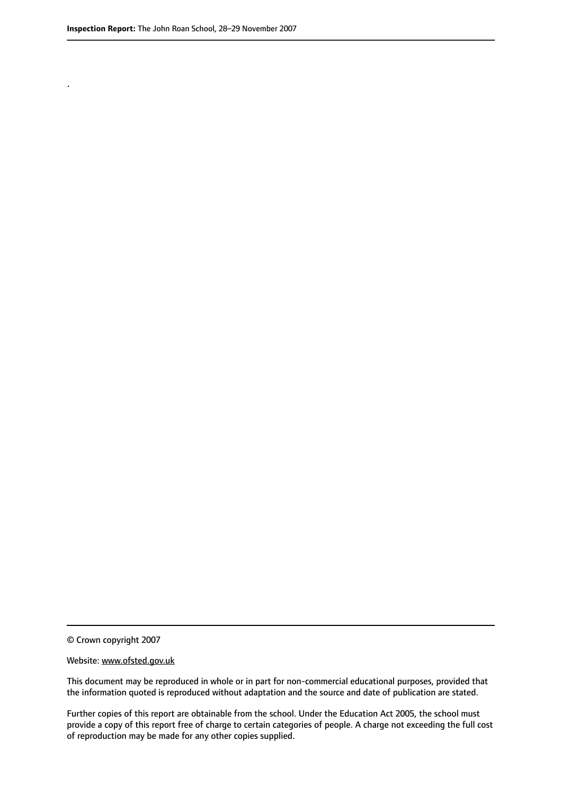.

© Crown copyright 2007

#### Website: www.ofsted.gov.uk

This document may be reproduced in whole or in part for non-commercial educational purposes, provided that the information quoted is reproduced without adaptation and the source and date of publication are stated.

Further copies of this report are obtainable from the school. Under the Education Act 2005, the school must provide a copy of this report free of charge to certain categories of people. A charge not exceeding the full cost of reproduction may be made for any other copies supplied.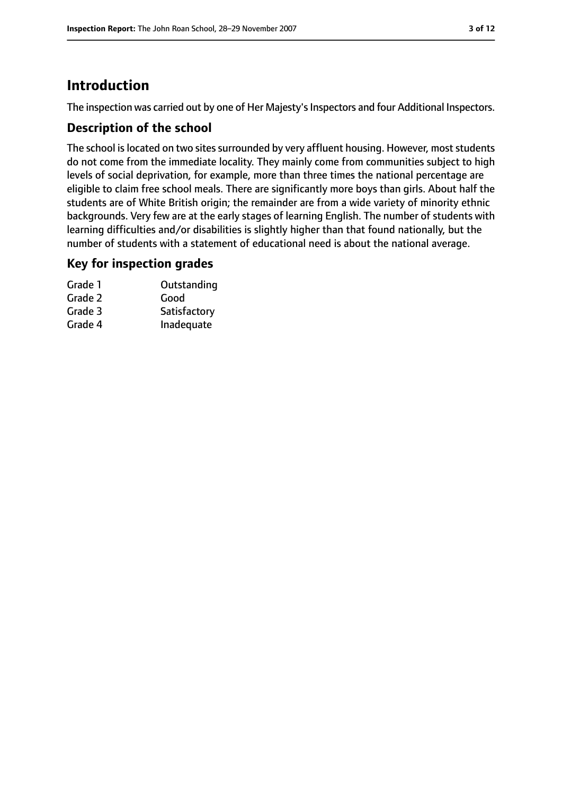## **Introduction**

The inspection was carried out by one of Her Majesty's Inspectors and four Additional Inspectors.

## **Description of the school**

The school is located on two sites surrounded by very affluent housing. However, most students do not come from the immediate locality. They mainly come from communities subject to high levels of social deprivation, for example, more than three times the national percentage are eligible to claim free school meals. There are significantly more boys than girls. About half the students are of White British origin; the remainder are from a wide variety of minority ethnic backgrounds. Very few are at the early stages of learning English. The number of students with learning difficulties and/or disabilities is slightly higher than that found nationally, but the number of students with a statement of educational need is about the national average.

## **Key for inspection grades**

| Grade 1 | Outstanding  |
|---------|--------------|
| Grade 2 | Good         |
| Grade 3 | Satisfactory |
| Grade 4 | Inadequate   |
|         |              |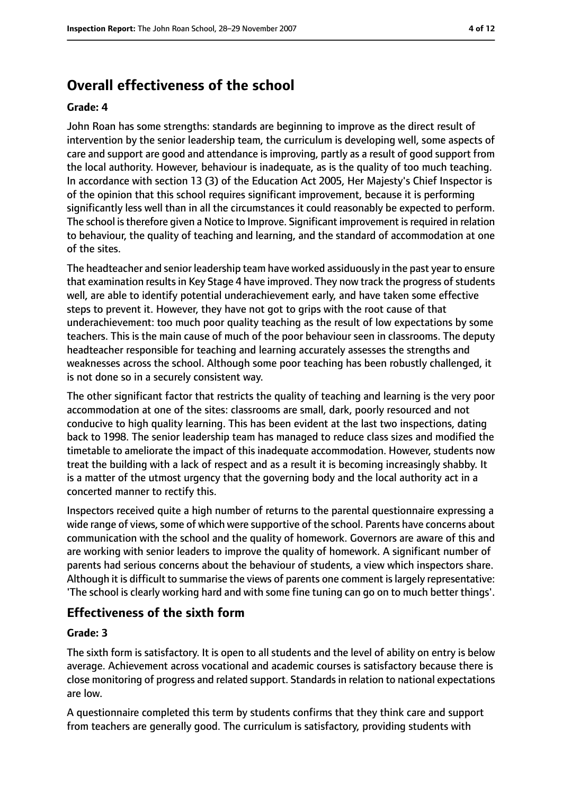# **Overall effectiveness of the school**

#### **Grade: 4**

John Roan has some strengths: standards are beginning to improve as the direct result of intervention by the senior leadership team, the curriculum is developing well, some aspects of care and support are good and attendance is improving, partly as a result of good support from the local authority. However, behaviour is inadequate, as is the quality of too much teaching. In accordance with section 13 (3) of the Education Act 2005, Her Majesty's Chief Inspector is of the opinion that this school requires significant improvement, because it is performing significantly less well than in all the circumstances it could reasonably be expected to perform. The school istherefore given a Notice to Improve. Significant improvement isrequired in relation to behaviour, the quality of teaching and learning, and the standard of accommodation at one of the sites.

The headteacher and senior leadership team have worked assiduously in the past year to ensure that examination results in Key Stage 4 have improved. They now track the progress of students well, are able to identify potential underachievement early, and have taken some effective steps to prevent it. However, they have not got to grips with the root cause of that underachievement: too much poor quality teaching as the result of low expectations by some teachers. This is the main cause of much of the poor behaviour seen in classrooms. The deputy headteacher responsible for teaching and learning accurately assesses the strengths and weaknesses across the school. Although some poor teaching has been robustly challenged, it is not done so in a securely consistent way.

The other significant factor that restricts the quality of teaching and learning is the very poor accommodation at one of the sites: classrooms are small, dark, poorly resourced and not conducive to high quality learning. This has been evident at the last two inspections, dating back to 1998. The senior leadership team has managed to reduce class sizes and modified the timetable to ameliorate the impact of this inadequate accommodation. However, students now treat the building with a lack of respect and as a result it is becoming increasingly shabby. It is a matter of the utmost urgency that the governing body and the local authority act in a concerted manner to rectify this.

Inspectors received quite a high number of returns to the parental questionnaire expressing a wide range of views, some of which were supportive of the school. Parents have concerns about communication with the school and the quality of homework. Governors are aware of this and are working with senior leaders to improve the quality of homework. A significant number of parents had serious concerns about the behaviour of students, a view which inspectors share. Although it is difficult to summarise the views of parents one comment islargely representative: 'The school is clearly working hard and with some fine tuning can go on to much better things'.

## **Effectiveness of the sixth form**

#### **Grade: 3**

The sixth form is satisfactory. It is open to all students and the level of ability on entry is below average. Achievement across vocational and academic courses is satisfactory because there is close monitoring of progress and related support. Standards in relation to national expectations are low.

A questionnaire completed this term by students confirms that they think care and support from teachers are generally good. The curriculum is satisfactory, providing students with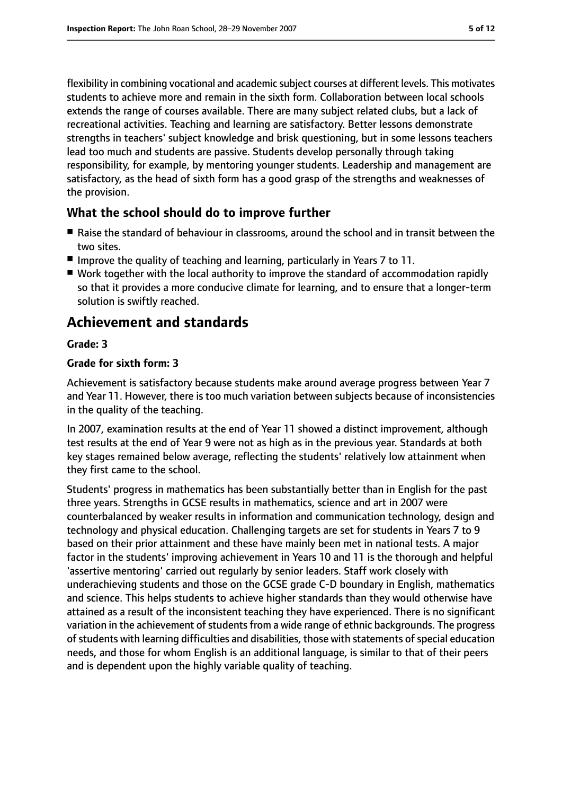flexibility in combining vocational and academic subject courses at different levels. This motivates students to achieve more and remain in the sixth form. Collaboration between local schools extends the range of courses available. There are many subject related clubs, but a lack of recreational activities. Teaching and learning are satisfactory. Better lessons demonstrate strengths in teachers' subject knowledge and brisk questioning, but in some lessons teachers lead too much and students are passive. Students develop personally through taking responsibility, for example, by mentoring younger students. Leadership and management are satisfactory, as the head of sixth form has a good grasp of the strengths and weaknesses of the provision.

### **What the school should do to improve further**

- Raise the standard of behaviour in classrooms, around the school and in transit between the two sites.
- Improve the quality of teaching and learning, particularly in Years 7 to 11.
- Work together with the local authority to improve the standard of accommodation rapidly so that it provides a more conducive climate for learning, and to ensure that a longer-term solution is swiftly reached.

## **Achievement and standards**

#### **Grade: 3**

#### **Grade for sixth form: 3**

Achievement is satisfactory because students make around average progress between Year 7 and Year 11. However, there is too much variation between subjects because of inconsistencies in the quality of the teaching.

In 2007, examination results at the end of Year 11 showed a distinct improvement, although test results at the end of Year 9 were not as high as in the previous year. Standards at both key stages remained below average, reflecting the students' relatively low attainment when they first came to the school.

Students' progress in mathematics has been substantially better than in English for the past three years. Strengths in GCSE results in mathematics, science and art in 2007 were counterbalanced by weaker results in information and communication technology, design and technology and physical education. Challenging targets are set for students in Years 7 to 9 based on their prior attainment and these have mainly been met in national tests. A major factor in the students' improving achievement in Years 10 and 11 is the thorough and helpful 'assertive mentoring' carried out regularly by senior leaders. Staff work closely with underachieving students and those on the GCSE grade C-D boundary in English, mathematics and science. This helps students to achieve higher standards than they would otherwise have attained as a result of the inconsistent teaching they have experienced. There is no significant variation in the achievement of students from a wide range of ethnic backgrounds. The progress of students with learning difficulties and disabilities, those with statements of special education needs, and those for whom English is an additional language, is similar to that of their peers and is dependent upon the highly variable quality of teaching.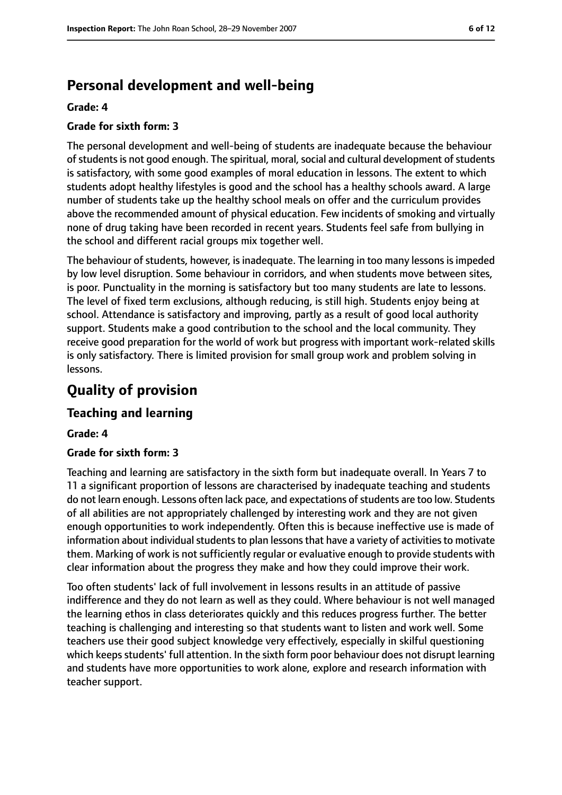## **Personal development and well-being**

#### **Grade: 4**

#### **Grade for sixth form: 3**

The personal development and well-being of students are inadequate because the behaviour of students is not good enough. The spiritual, moral, social and cultural development of students is satisfactory, with some good examples of moral education in lessons. The extent to which students adopt healthy lifestyles is good and the school has a healthy schools award. A large number of students take up the healthy school meals on offer and the curriculum provides above the recommended amount of physical education. Few incidents of smoking and virtually none of drug taking have been recorded in recent years. Students feel safe from bullying in the school and different racial groups mix together well.

The behaviour of students, however, is inadequate. The learning in too many lessons is impeded by low level disruption. Some behaviour in corridors, and when students move between sites, is poor. Punctuality in the morning is satisfactory but too many students are late to lessons. The level of fixed term exclusions, although reducing, is still high. Students enjoy being at school. Attendance is satisfactory and improving, partly as a result of good local authority support. Students make a good contribution to the school and the local community. They receive good preparation for the world of work but progress with important work-related skills is only satisfactory. There is limited provision for small group work and problem solving in lessons.

## **Quality of provision**

#### **Teaching and learning**

#### **Grade: 4**

#### **Grade for sixth form: 3**

Teaching and learning are satisfactory in the sixth form but inadequate overall. In Years 7 to 11 a significant proportion of lessons are characterised by inadequate teaching and students do not learn enough. Lessons often lack pace, and expectations of students are too low. Students of all abilities are not appropriately challenged by interesting work and they are not given enough opportunities to work independently. Often this is because ineffective use is made of information about individual students to plan lessons that have a variety of activities to motivate them. Marking of work is not sufficiently regular or evaluative enough to provide students with clear information about the progress they make and how they could improve their work.

Too often students' lack of full involvement in lessons results in an attitude of passive indifference and they do not learn as well as they could. Where behaviour is not well managed the learning ethos in class deteriorates quickly and this reduces progress further. The better teaching is challenging and interesting so that students want to listen and work well. Some teachers use their good subject knowledge very effectively, especially in skilful questioning which keeps students' full attention. In the sixth form poor behaviour does not disrupt learning and students have more opportunities to work alone, explore and research information with teacher support.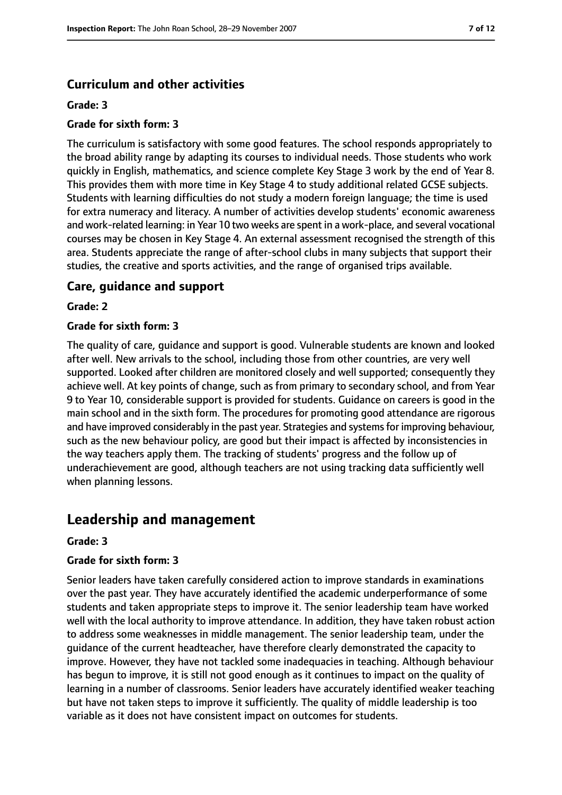## **Curriculum and other activities**

#### **Grade: 3**

#### **Grade for sixth form: 3**

The curriculum is satisfactory with some good features. The school responds appropriately to the broad ability range by adapting its courses to individual needs. Those students who work quickly in English, mathematics, and science complete Key Stage 3 work by the end of Year 8. This provides them with more time in Key Stage 4 to study additional related GCSE subjects. Students with learning difficulties do not study a modern foreign language; the time is used for extra numeracy and literacy. A number of activities develop students' economic awareness and work-related learning: in Year 10 two weeks are spent in a work-place, and several vocational courses may be chosen in Key Stage 4. An external assessment recognised the strength of this area. Students appreciate the range of after-school clubs in many subjects that support their studies, the creative and sports activities, and the range of organised trips available.

#### **Care, guidance and support**

#### **Grade: 2**

#### **Grade for sixth form: 3**

The quality of care, guidance and support is good. Vulnerable students are known and looked after well. New arrivals to the school, including those from other countries, are very well supported. Looked after children are monitored closely and well supported; consequently they achieve well. At key points of change, such as from primary to secondary school, and from Year 9 to Year 10, considerable support is provided for students. Guidance on careers is good in the main school and in the sixth form. The procedures for promoting good attendance are rigorous and have improved considerably in the past year. Strategies and systems for improving behaviour, such as the new behaviour policy, are good but their impact is affected by inconsistencies in the way teachers apply them. The tracking of students' progress and the follow up of underachievement are good, although teachers are not using tracking data sufficiently well when planning lessons.

## **Leadership and management**

#### **Grade: 3**

#### **Grade for sixth form: 3**

Senior leaders have taken carefully considered action to improve standards in examinations over the past year. They have accurately identified the academic underperformance of some students and taken appropriate steps to improve it. The senior leadership team have worked well with the local authority to improve attendance. In addition, they have taken robust action to address some weaknesses in middle management. The senior leadership team, under the guidance of the current headteacher, have therefore clearly demonstrated the capacity to improve. However, they have not tackled some inadequacies in teaching. Although behaviour has begun to improve, it is still not good enough as it continues to impact on the quality of learning in a number of classrooms. Senior leaders have accurately identified weaker teaching but have not taken steps to improve it sufficiently. The quality of middle leadership is too variable as it does not have consistent impact on outcomes for students.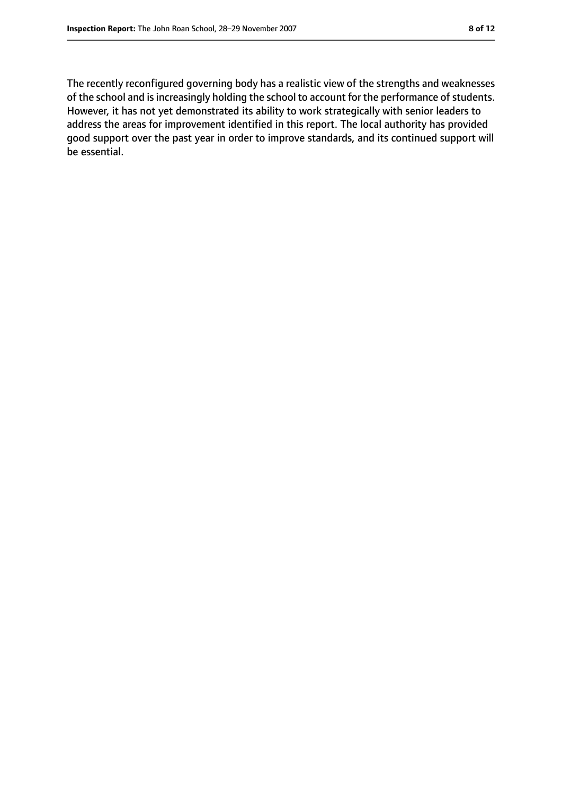The recently reconfigured governing body has a realistic view of the strengths and weaknesses of the school and is increasingly holding the school to account for the performance of students. However, it has not yet demonstrated its ability to work strategically with senior leaders to address the areas for improvement identified in this report. The local authority has provided good support over the past year in order to improve standards, and its continued support will be essential.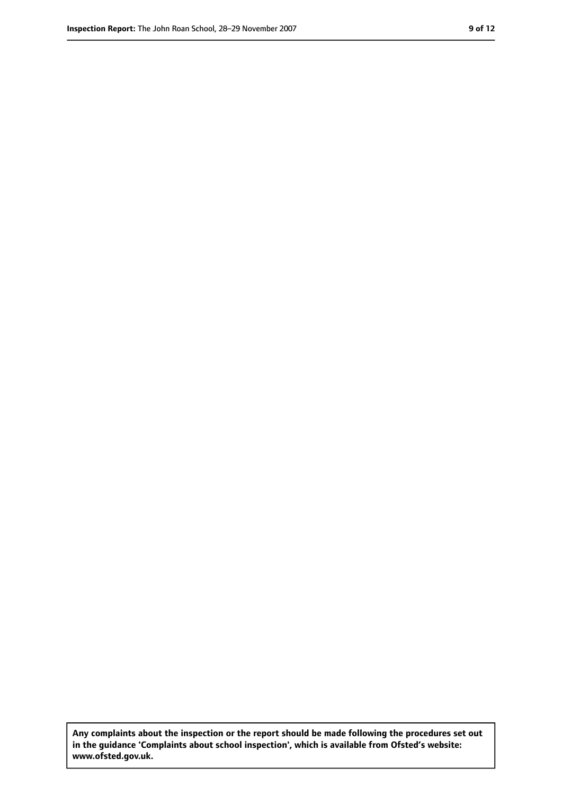**Any complaints about the inspection or the report should be made following the procedures set out in the guidance 'Complaints about school inspection', which is available from Ofsted's website: www.ofsted.gov.uk.**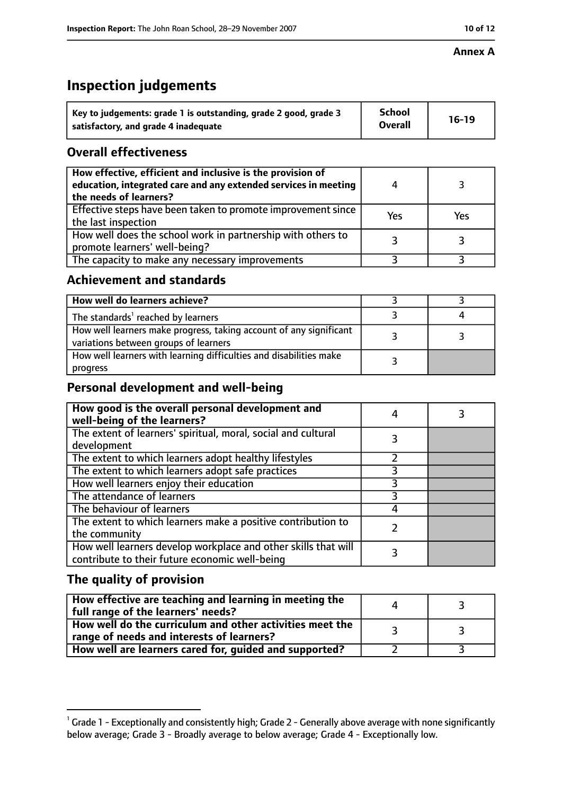#### **Annex A**

# **Inspection judgements**

| Key to judgements: grade 1 is outstanding, grade 2 good, grade 3 | <b>School</b>  | $16-19$ |
|------------------------------------------------------------------|----------------|---------|
| satisfactory, and grade 4 inadequate                             | <b>Overall</b> |         |

## **Overall effectiveness**

| How effective, efficient and inclusive is the provision of<br>education, integrated care and any extended services in meeting<br>the needs of learners? |     |     |
|---------------------------------------------------------------------------------------------------------------------------------------------------------|-----|-----|
| Effective steps have been taken to promote improvement since<br>the last inspection                                                                     | Yes | Yes |
| How well does the school work in partnership with others to<br>promote learners' well-being?                                                            |     |     |
| The capacity to make any necessary improvements                                                                                                         |     |     |

## **Achievement and standards**

| How well do learners achieve?                                                                               |  |
|-------------------------------------------------------------------------------------------------------------|--|
| The standards <sup>1</sup> reached by learners                                                              |  |
| How well learners make progress, taking account of any significant<br>variations between groups of learners |  |
| How well learners with learning difficulties and disabilities make<br>progress                              |  |

## **Personal development and well-being**

| How good is the overall personal development and<br>well-being of the learners?                                  |   |  |
|------------------------------------------------------------------------------------------------------------------|---|--|
| The extent of learners' spiritual, moral, social and cultural                                                    | 3 |  |
| development                                                                                                      |   |  |
| The extent to which learners adopt healthy lifestyles                                                            |   |  |
| The extent to which learners adopt safe practices                                                                |   |  |
| How well learners enjoy their education                                                                          |   |  |
| The attendance of learners                                                                                       |   |  |
| The behaviour of learners                                                                                        |   |  |
| The extent to which learners make a positive contribution to<br>the community                                    |   |  |
| How well learners develop workplace and other skills that will<br>contribute to their future economic well-being |   |  |

## **The quality of provision**

| How effective are teaching and learning in meeting the<br>full range of the learners' needs?          |  |
|-------------------------------------------------------------------------------------------------------|--|
| How well do the curriculum and other activities meet the<br>range of needs and interests of learners? |  |
| How well are learners cared for, guided and supported?                                                |  |

 $^1$  Grade 1 - Exceptionally and consistently high; Grade 2 - Generally above average with none significantly below average; Grade 3 - Broadly average to below average; Grade 4 - Exceptionally low.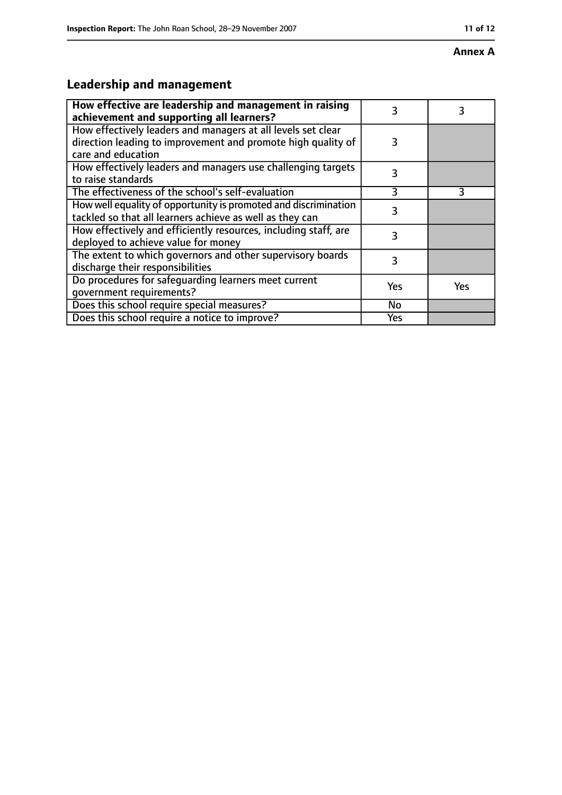#### **Annex A**

# **Leadership and management**

| How effective are leadership and management in raising<br>achievement and supporting all learners?                                                 | 3   | 3          |
|----------------------------------------------------------------------------------------------------------------------------------------------------|-----|------------|
| How effectively leaders and managers at all levels set clear<br>direction leading to improvement and promote high quality of<br>care and education | 3   |            |
| How effectively leaders and managers use challenging targets<br>to raise standards                                                                 | 3   |            |
| The effectiveness of the school's self-evaluation                                                                                                  | 3   | 3          |
| How well equality of opportunity is promoted and discrimination<br>tackled so that all learners achieve as well as they can                        | 3   |            |
| How effectively and efficiently resources, including staff, are<br>deployed to achieve value for money                                             | 3   |            |
| The extent to which governors and other supervisory boards<br>discharge their responsibilities                                                     | 3   |            |
| Do procedures for safeguarding learners meet current<br>qovernment requirements?                                                                   | Yes | <b>Yes</b> |
| Does this school require special measures?                                                                                                         | No  |            |
| Does this school require a notice to improve?                                                                                                      | Yes |            |